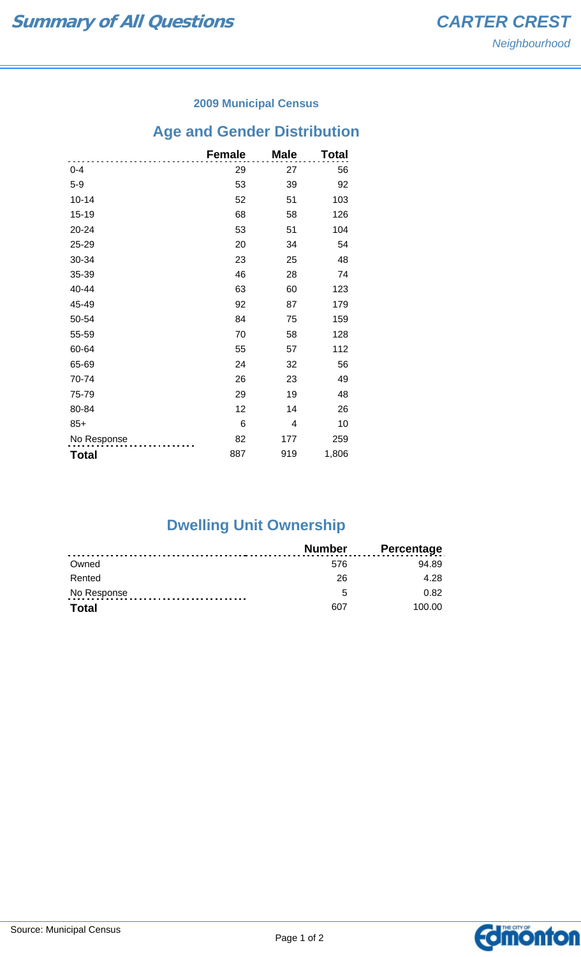### **2009 Municipal Census**

# **Age and Gender Distribution**

|              | <b>Female</b> | <b>Male</b> | Total |
|--------------|---------------|-------------|-------|
| $0 - 4$      | 29            | 27          | 56    |
| $5-9$        | 53            | 39          | 92    |
| $10 - 14$    | 52            | 51          | 103   |
| 15-19        | 68            | 58          | 126   |
| 20-24        | 53            | 51          | 104   |
| 25-29        | 20            | 34          | 54    |
| 30-34        | 23            | 25          | 48    |
| 35-39        | 46            | 28          | 74    |
| 40-44        | 63            | 60          | 123   |
| 45-49        | 92            | 87          | 179   |
| 50-54        | 84            | 75          | 159   |
| 55-59        | 70            | 58          | 128   |
| 60-64        | 55            | 57          | 112   |
| 65-69        | 24            | 32          | 56    |
| 70-74        | 26            | 23          | 49    |
| 75-79        | 29            | 19          | 48    |
| 80-84        | 12            | 14          | 26    |
| $85+$        | 6             | 4           | 10    |
| No Response  | 82            | 177         | 259   |
| <b>Total</b> | 887           | 919         | 1,806 |

# **Dwelling Unit Ownership**

|              | Number | <b>Percentage</b> |
|--------------|--------|-------------------|
| Owned        | 576    | 94.89             |
| Rented       | 26     | 4.28              |
| No Response  | 5      | 0.82              |
| <b>Total</b> | 607    | 100.00            |